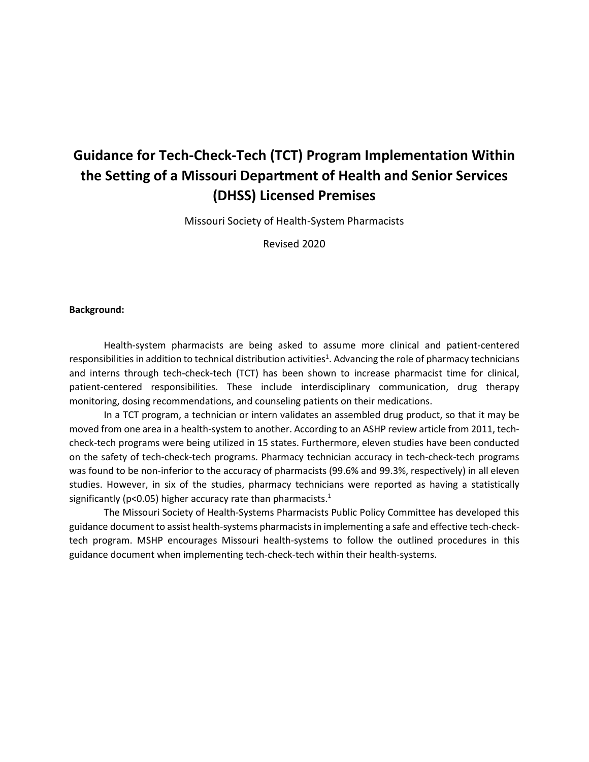# **Guidance for Tech-Check-Tech (TCT) Program Implementation Within the Setting of a Missouri Department of Health and Senior Services (DHSS) Licensed Premises**

Missouri Society of Health-System Pharmacists

Revised 2020

#### **Background:**

Health-system pharmacists are being asked to assume more clinical and patient-centered responsibilities in addition to technical distribution activities<sup>1</sup>. Advancing the role of pharmacy technicians and interns through tech-check-tech (TCT) has been shown to increase pharmacist time for clinical, patient-centered responsibilities. These include interdisciplinary communication, drug therapy monitoring, dosing recommendations, and counseling patients on their medications.

In a TCT program, a technician or intern validates an assembled drug product, so that it may be moved from one area in a health-system to another. According to an ASHP review article from 2011, techcheck-tech programs were being utilized in 15 states. Furthermore, eleven studies have been conducted on the safety of tech-check-tech programs. Pharmacy technician accuracy in tech-check-tech programs was found to be non-inferior to the accuracy of pharmacists (99.6% and 99.3%, respectively) in all eleven studies. However, in six of the studies, pharmacy technicians were reported as having a statistically significantly ( $p<0.05$ ) higher accuracy rate than pharmacists.<sup>1</sup>

The Missouri Society of Health-Systems Pharmacists Public Policy Committee has developed this guidance document to assist health-systems pharmacists in implementing a safe and effective tech-checktech program. MSHP encourages Missouri health-systems to follow the outlined procedures in this guidance document when implementing tech-check-tech within their health-systems.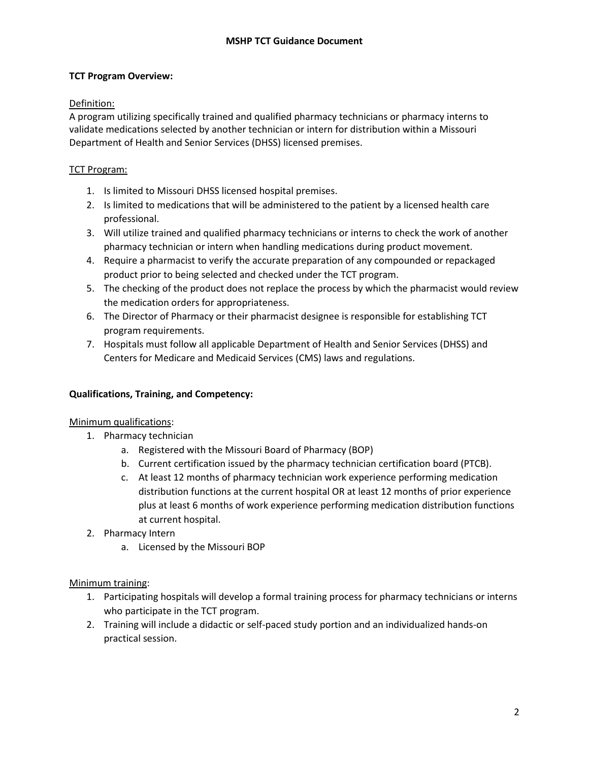# **TCT Program Overview:**

# Definition:

A program utilizing specifically trained and qualified pharmacy technicians or pharmacy interns to validate medications selected by another technician or intern for distribution within a Missouri Department of Health and Senior Services (DHSS) licensed premises.

# TCT Program:

- 1. Is limited to Missouri DHSS licensed hospital premises.
- 2. Is limited to medications that will be administered to the patient by a licensed health care professional.
- 3. Will utilize trained and qualified pharmacy technicians or interns to check the work of another pharmacy technician or intern when handling medications during product movement.
- 4. Require a pharmacist to verify the accurate preparation of any compounded or repackaged product prior to being selected and checked under the TCT program.
- 5. The checking of the product does not replace the process by which the pharmacist would review the medication orders for appropriateness.
- 6. The Director of Pharmacy or their pharmacist designee is responsible for establishing TCT program requirements.
- 7. Hospitals must follow all applicable Department of Health and Senior Services (DHSS) and Centers for Medicare and Medicaid Services (CMS) laws and regulations.

# **Qualifications, Training, and Competency:**

# Minimum qualifications:

- 1. Pharmacy technician
	- a. Registered with the Missouri Board of Pharmacy (BOP)
	- b. Current certification issued by the pharmacy technician certification board (PTCB).
	- c. At least 12 months of pharmacy technician work experience performing medication distribution functions at the current hospital OR at least 12 months of prior experience plus at least 6 months of work experience performing medication distribution functions at current hospital.
- 2. Pharmacy Intern
	- a. Licensed by the Missouri BOP

Minimum training:

- 1. Participating hospitals will develop a formal training process for pharmacy technicians or interns who participate in the TCT program.
- 2. Training will include a didactic or self-paced study portion and an individualized hands-on practical session.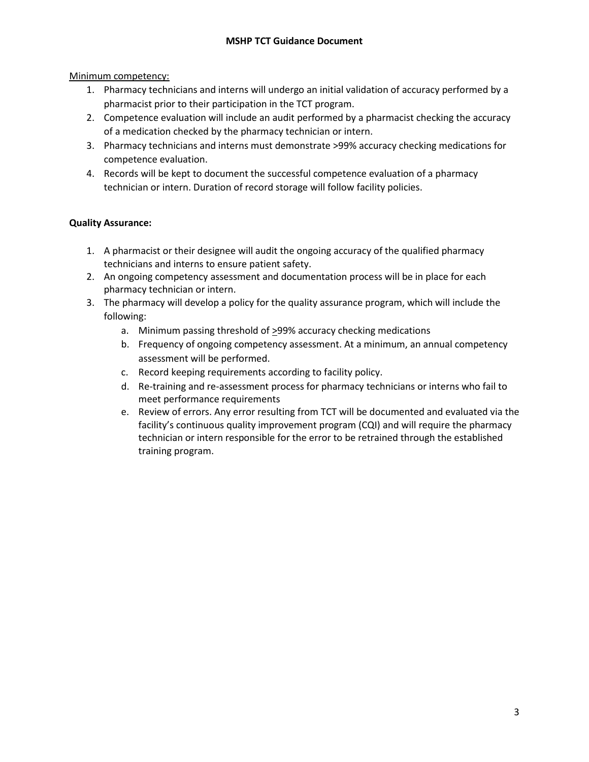Minimum competency:

- 1. Pharmacy technicians and interns will undergo an initial validation of accuracy performed by a pharmacist prior to their participation in the TCT program.
- 2. Competence evaluation will include an audit performed by a pharmacist checking the accuracy of a medication checked by the pharmacy technician or intern.
- 3. Pharmacy technicians and interns must demonstrate >99% accuracy checking medications for competence evaluation.
- 4. Records will be kept to document the successful competence evaluation of a pharmacy technician or intern. Duration of record storage will follow facility policies.

# **Quality Assurance:**

- 1. A pharmacist or their designee will audit the ongoing accuracy of the qualified pharmacy technicians and interns to ensure patient safety.
- 2. An ongoing competency assessment and documentation process will be in place for each pharmacy technician or intern.
- 3. The pharmacy will develop a policy for the quality assurance program, which will include the following:
	- a. Minimum passing threshold of  $\geq$ 99% accuracy checking medications
	- b. Frequency of ongoing competency assessment. At a minimum, an annual competency assessment will be performed.
	- c. Record keeping requirements according to facility policy.
	- d. Re-training and re-assessment process for pharmacy technicians or interns who fail to meet performance requirements
	- e. Review of errors. Any error resulting from TCT will be documented and evaluated via the facility's continuous quality improvement program (CQI) and will require the pharmacy technician or intern responsible for the error to be retrained through the established training program.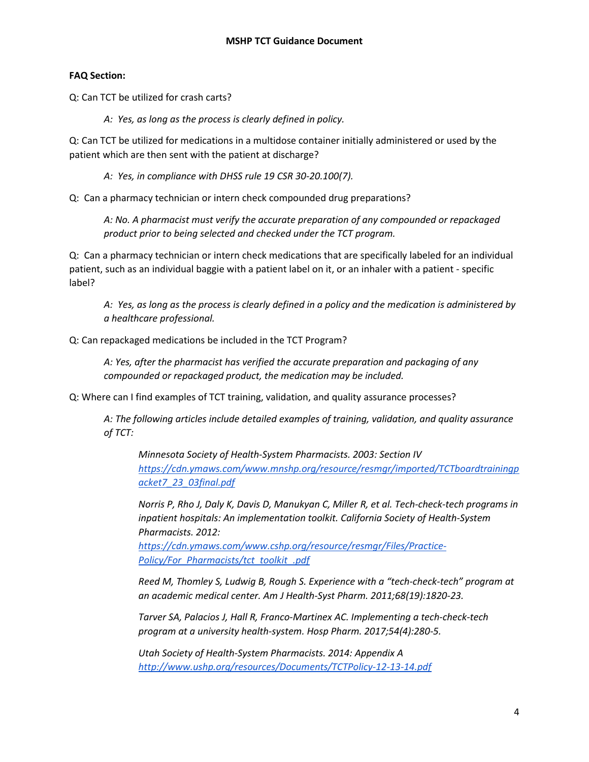# **FAQ Section:**

Q: Can TCT be utilized for crash carts?

*A: Yes, as long as the process is clearly defined in policy.* 

Q: Can TCT be utilized for medications in a multidose container initially administered or used by the patient which are then sent with the patient at discharge?

*A: Yes, in compliance with DHSS rule 19 CSR 30-20.100(7).* 

Q: Can a pharmacy technician or intern check compounded drug preparations?

*A: No. A pharmacist must verify the accurate preparation of any compounded or repackaged product prior to being selected and checked under the TCT program.*

Q: Can a pharmacy technician or intern check medications that are specifically labeled for an individual patient, such as an individual baggie with a patient label on it, or an inhaler with a patient - specific label?

*A: Yes, as long as the process is clearly defined in a policy and the medication is administered by a healthcare professional.*

Q: Can repackaged medications be included in the TCT Program?

*A: Yes, after the pharmacist has verified the accurate preparation and packaging of any compounded or repackaged product, the medication may be included.*

Q: Where can I find examples of TCT training, validation, and quality assurance processes?

*A: The following articles include detailed examples of training, validation, and quality assurance of TCT:*

*Minnesota Society of Health-System Pharmacists. 2003: Section IV [https://cdn.ymaws.com/www.mnshp.org/resource/resmgr/imported/TCTboardtrainingp](https://cdn.ymaws.com/www.mnshp.org/resource/resmgr/imported/TCTboardtrainingpacket7_23_03final.pdf) [acket7\\_23\\_03final.pdf](https://cdn.ymaws.com/www.mnshp.org/resource/resmgr/imported/TCTboardtrainingpacket7_23_03final.pdf)*

*Norris P, Rho J, Daly K, Davis D, Manukyan C, Miller R, et al. Tech-check-tech programs in inpatient hospitals: An implementation toolkit. California Society of Health-System Pharmacists. 2012:* 

*[https://cdn.ymaws.com/www.cshp.org/resource/resmgr/Files/Practice-](https://cdn.ymaws.com/www.cshp.org/resource/resmgr/Files/Practice-Policy/For_Pharmacists/tct_toolkit_.pdf)[Policy/For\\_Pharmacists/tct\\_toolkit\\_.pdf](https://cdn.ymaws.com/www.cshp.org/resource/resmgr/Files/Practice-Policy/For_Pharmacists/tct_toolkit_.pdf)*

*Reed M, Thomley S, Ludwig B, Rough S. Experience with a "tech-check-tech" program at an academic medical center. Am J Health-Syst Pharm. 2011;68(19):1820-23.*

*Tarver SA, Palacios J, Hall R, Franco-Martinex AC. Implementing a tech-check-tech program at a university health-system. Hosp Pharm. 2017;54(4):280-5.*

*Utah Society of Health-System Pharmacists. 2014: Appendix A <http://www.ushp.org/resources/Documents/TCTPolicy-12-13-14.pdf>*